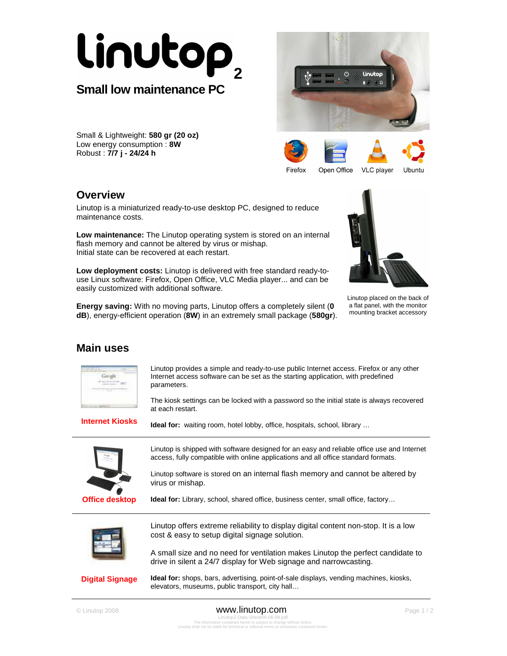



Small & Lightweight: **580 gr (20 oz)**  Low energy consumption : **8W** Robust : **7/7 j - 24/24 h**

#### Firefox Open Office

VLC player

## Ubuntu

**Overview** 

Linutop is a miniaturized ready-to-use desktop PC, designed to reduce maintenance costs.

**Low maintenance:** The Linutop operating system is stored on an internal flash memory and cannot be altered by virus or mishap. Initial state can be recovered at each restart.

**Low deployment costs:** Linutop is delivered with free standard ready-touse Linux software: Firefox, Open Office, VLC Media player... and can be easily customized with additional software.

**Energy saving:** With no moving parts, Linutop offers a completely silent (**0 dB**), energy-efficient operation (**8W**) in an extremely small package (**580gr**).



Linutop placed on the back of a flat panel, with the monitor mounting bracket accessory

## **Main uses**



Linutop provides a simple and ready-to-use public Internet access. Firefox or any other Internet access software can be set as the starting application, with predefined parameters.

The kiosk settings can be locked with a password so the initial state is always recovered at each restart.

**Internet Kiosks** 

**Ideal for:** waiting room, hotel lobby, office, hospitals, school, library ...



Linutop is shipped with software designed for an easy and reliable office use and Internet access, fully compatible with online applications and all office standard formats.

Linutop software is stored on an internal flash memory and cannot be altered by virus or mishap.

**Ideal for:** Library, school, shared office, business center, small office, factory…



Linutop offers extreme reliability to display digital content non-stop. It is a low cost & easy to setup digital signage solution.

A small size and no need for ventilation makes Linutop the perfect candidate to drive in silent a 24/7 display for Web signage and narrowcasting.

**Digital Signage Ideal for:** shops, bars, advertising, point-of-sale displays, vending machines, kiosks, elevators, museums, public transport, city hall…